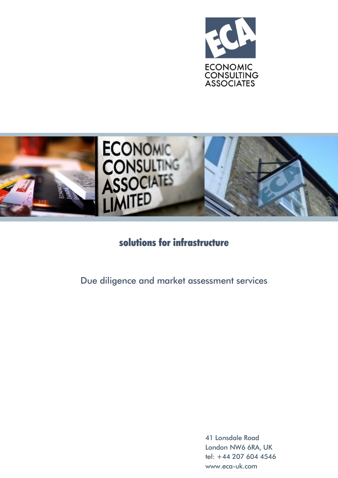



# solutions for infrastructure

Due diligence and market assessment services

41 Lonsdale Road London NW6 6RA, UK tel: +44 207 604 4546 [www.eca-uk.com](http://www.eca-uk.com/)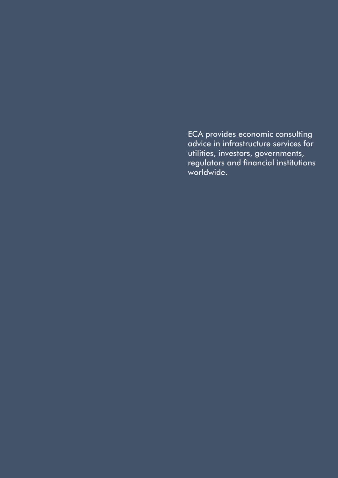ECA provides economic consulting advice in infrastructure services for utilities, investors, governments, regulators and financial institutions worldwide.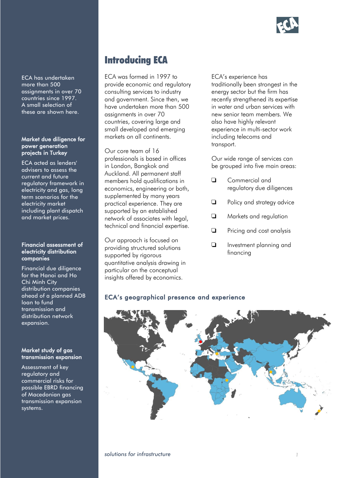

ECA has undertaken more than 500 assignments in over 70 countries since 1997. A small selection of these are shown here.

#### Market due diligence for power generation projects in Turkey

ECA acted as lenders' advisers to assess the current and future regulatory framework in electricity and gas, long term scenarios for the electricity market including plant dispatch and market prices.

#### Financial assessment of electricity distribution companies

Financial due diligence for the Hanoi and Ho Chi Minh City distribution companies ahead of a planned ADB loan to fund transmission and distribution network expansion.

#### Market study of gas transmission expansion

Assessment of key regulatory and commercial risks for possible EBRD financing of Macedonian gas transmission expansion systems.

# Introducing ECA

ECA was formed in 1997 to provide economic and regulatory consulting services to industry and government. Since then, we have undertaken more than 500 assignments in over 70 countries, covering large and small developed and emerging markets on all continents.

Our core team of 16 professionals is based in offices in London, Bangkok and Auckland. All permanent staff members hold qualifications in economics, engineering or both, supplemented by many years practical experience. They are supported by an established network of associates with legal, technical and financial expertise.

Our approach is focused on providing structured solutions supported by rigorous quantitative analysis drawing in particular on the conceptual insights offered by economics.

ECA's experience has traditionally been strongest in the energy sector but the firm has recently strengthened its expertise in water and urban services with new senior team members. We also have highly relevant experience in multi-sector work including telecoms and transport.

Our wide range of services can be grouped into five main areas:

- **Q** Commercial and regulatory due diligences
- **Policy and strategy advice**
- **Q** Markets and regulation
- **Q** Pricing and cost analysis
- **Investment planning and** financing

## ECA's geographical presence and experience

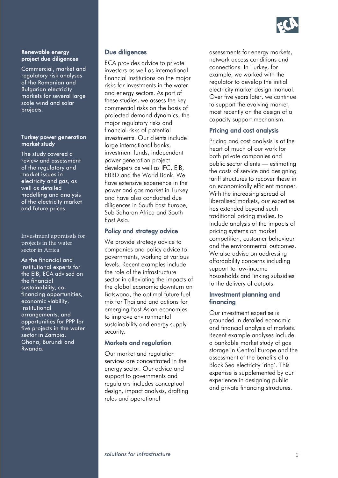

#### Renewable energy project due diligences

Commercial, market and regulatory risk analyses of the Romanian and Bulgarian electricity markets for several large scale wind and solar projects.

#### Turkey power generation market study

The study covered a review and assessment of the regulatory and market issues in electricity and gas, as well as detailed modelling and analysis of the electricity market and future prices.

Investment appraisals for projects in the water sector in Africa

As the financial and institutional experts for the EIB, ECA advised on the financial sustainability, cofinancing opportunities, economic viability, institutional arrangements, and opportunities for PPP for five projects in the water sector in Zambia, Ghana, Burundi and Rwanda.

#### Due diligences

ECA provides advice to private investors as well as international financial institutions on the major risks for investments in the water and energy sectors. As part of these studies, we assess the key commercial risks on the basis of projected demand dynamics, the major regulatory risks and financial risks of potential investments. Our clients include large international banks, investment funds, independent power generation project developers as well as IFC, EIB, EBRD and the World Bank. We have extensive experience in the power and gas market in Turkey and have also conducted due diligences in South East Europe, Sub Saharan Africa and South East Asia.

## Policy and strategy advice

We provide strategy advice to companies and policy advice to governments, working at various levels. Recent examples include the role of the infrastructure sector in alleviating the impacts of the global economic downturn on Botswana, the optimal future fuel mix for Thailand and actions for emerging East Asian economies to improve environmental sustainability and energy supply security.

## Markets and regulation

Our market and regulation services are concentrated in the energy sector. Our advice and support to governments and regulators includes conceptual design, impact analysis, drafting rules and operational

assessments for energy markets, network access conditions and connections. In Turkey, for example, we worked with the regulator to develop the initial electricity market design manual. Over five years later, we continue to support the evolving market, most recently on the design of a capacity support mechanism.

## Pricing and cost analysis

Pricing and cost analysis is at the heart of much of our work for both private companies and public sector clients — estimating the costs of service and designing tariff structures to recover these in an economically efficient manner. With the increasing spread of liberalised markets, our expertise has extended beyond such traditional pricing studies, to include analysis of the impacts of pricing systems on market competition, customer behaviour and the environmental outcomes. We also advise on addressing affordability concerns including support to low-income households and linking subsidies to the delivery of outputs.

## Investment planning and financing

Our investment expertise is grounded in detailed economic and financial analysis of markets. Recent example analyses include a bankable market study of gas storage in Central Europe and the assessment of the benefits of a Black Sea electricity 'ring'. This expertise is supplemented by our experience in designing public and private financing structures.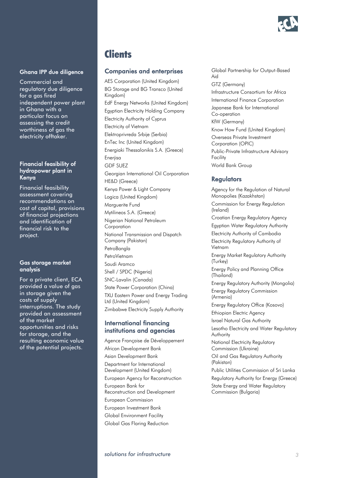

#### Ghana IPP due diligence

Commercial and regulatory due diligence for a gas fired independent power plant in Ghana with a particular focus on assessing the credit worthiness of gas the electricity offtaker.

#### Financial feasibility of hydropower plant in Kenya

Financial feasibility assessment covering recommendations on cost of capital, provisions of financial projections and identification of financial risk to the project.

#### Gas storage market analysis

For a private client, ECA provided a value of gas in storage given the costs of supply interruptions. The study provided an assessment of the market opportunities and risks for storage, and the resulting economic value of the potential projects.

## **Clients**

#### Companies and enterprises

AES Corporation (United Kingdom) BG Storage and BG Transco (United Kingdom) EdF Energy Networks (United Kingdom) Egyptian Electricity Holding Company Electricity Authority of Cyprus Electricity of Vietnam Elektroprivreda Srbije (Serbia) EnTec Inc (United Kingdom) Energiaki Thessalonikis S.A. (Greece) Enerjisa GDF SUEZ Georgian International Oil Corporation HE&D (Greece) Kenya Power & Light Company Logica (United Kingdom) Marguerite Fund Mytilineos S.A. (Greece) Nigerian National Petroleum Corporation National Transmission and Dispatch Company (Pakistan) **PetroBangla** PetroVietnam Saudi Aramco Shell / SPDC (Nigeria) SNC-Lavalin (Canada) State Power Corporation (China) TXU Eastern Power and Energy Trading Ltd (United Kingdom) Zimbabwe Electricity Supply Authority

## International financing institutions and agencies

Agence Française de Développement African Development Bank Asian Development Bank Department for International Development (United Kingdom) European Agency for Reconstruction European Bank for Reconstruction and Development European Commission European Investment Bank Global Environment Facility Global Gas Flaring Reduction

Global Partnership for Output-Based Aid GTZ (Germany) Infrastructure Consortium for Africa International Finance Corporation Japanese Bank for International Co-operation KfW (Germany) Know How Fund (United Kingdom) Overseas Private Investment Corporation (OPIC) Public-Private Infrastructure Advisory Facility World Bank Group

## **Regulators**

Agency for the Regulation of Natural Monopolies (Kazakhstan) Commission for Energy Regulation (Ireland) Croatian Energy Regulatory Agency Egyptian Water Regulatory Authority Electricity Authority of Cambodia Electricity Regulatory Authority of Vietnam Energy Market Regulatory Authority (Turkey) Energy Policy and Planning Office (Thailand) Energy Regulatory Authority (Mongolia) Energy Regulatory Commission (Armenia) Energy Regulatory Office (Kosovo) Ethiopian Electric Agency Israel Natural Gas Authority Lesotho Electricity and Water Regulatory Authority National Electricity Regulatory Commission (Ukraine) Oil and Gas Regulatory Authority (Pakistan) Public Utilities Commission of Sri Lanka Regulatory Authority for Energy (Greece) State Energy and Water Regulatory Commission (Bulgaria)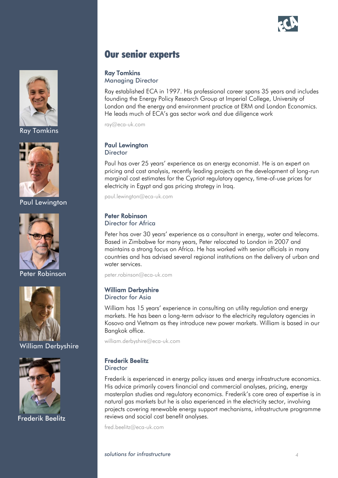



Ray Tomkins



Paul Lewington



Peter Robinson



William Derbyshire



Frederik Beelitz

## Our senior experts

## Ray Tomkins

Managing Director

Ray established ECA in 1997. His professional career spans 35 years and includes founding the Energy Policy Research Group at Imperial College, University of London and the energy and environment practice at ERM and London Economics. He leads much of ECA's gas sector work and due diligence work

[ray@eca-uk.com](mailto:ray@eca-uk.com)

#### Paul Lewington **Director**

Paul has over 25 years' experience as an energy economist. He is an expert on pricing and cost analysis, recently leading projects on the development of long-run marginal cost estimates for the Cypriot regulatory agency, time-of-use prices for electricity in Egypt and gas pricing strategy in Iraq.

[paul.lewington@eca-uk.com](mailto:paul.lewington@eca-uk.com)

## Peter Robinson

#### Director for Africa

Peter has over 30 years' experience as a consultant in energy, water and telecoms. Based in Zimbabwe for many years, Peter relocated to London in 2007 and maintains a strong focus on Africa. He has worked with senior officials in many countries and has advised several regional institutions on the delivery of urban and water services.

[peter.robinson@eca-uk.com](mailto:peter.robinson@eca-uk.com)

## William Derbyshire

Director for Asia

William has 15 years' experience in consulting on utility regulation and energy markets. He has been a long-term advisor to the electricity regulatory agencies in Kosovo and Vietnam as they introduce new power markets. William is based in our Bangkok office.

[william.derbyshire@eca-uk.com](mailto:william.derbyshire@eca-uk.com)

## Frederik Beelitz

**Director** 

Frederik is experienced in energy policy issues and energy infrastructure economics. His advice primarily covers financial and commercial analyses, pricing, energy masterplan studies and regulatory economics. Frederik's core area of expertise is in natural gas markets but he is also experienced in the electricity sector, involving projects covering renewable energy support mechanisms, infrastructure programme reviews and social cost benefit analyses.

[fred.beelitz@eca-uk.com](mailto:william.derbyshire@eca-uk.com)

*solutions for infrastructure 4*